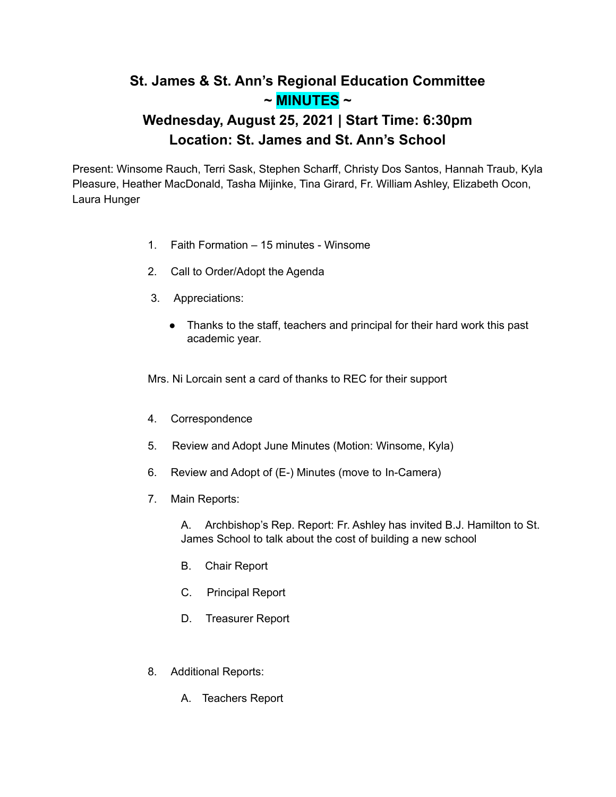## **St. James & St. Ann's Regional Education Committee ~ MINUTES ~**

## **Wednesday, August 25, 2021 | Start Time: 6:30pm Location: St. James and St. Ann's School**

Present: Winsome Rauch, Terri Sask, Stephen Scharff, Christy Dos Santos, Hannah Traub, Kyla Pleasure, Heather MacDonald, Tasha Mijinke, Tina Girard, Fr. William Ashley, Elizabeth Ocon, Laura Hunger

- 1. Faith Formation 15 minutes Winsome
- 2. Call to Order/Adopt the Agenda
- 3. Appreciations:
	- Thanks to the staff, teachers and principal for their hard work this past academic year.

Mrs. Ni Lorcain sent a card of thanks to REC for their support

- 4. Correspondence
- 5. Review and Adopt June Minutes (Motion: Winsome, Kyla)
- 6. Review and Adopt of (E-) Minutes (move to In-Camera)
- 7. Main Reports:

A. Archbishop's Rep. Report: Fr. Ashley has invited B.J. Hamilton to St. James School to talk about the cost of building a new school

- B. Chair Report
- C. Principal Report
- D. Treasurer Report
- 8. Additional Reports:
	- A. Teachers Report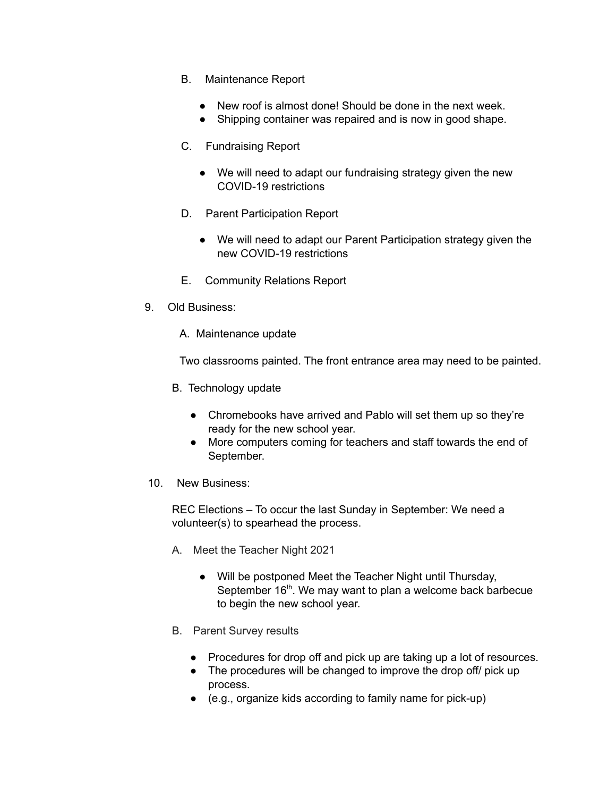- B. Maintenance Report
	- New roof is almost done! Should be done in the next week.
	- Shipping container was repaired and is now in good shape.
- C. Fundraising Report
	- We will need to adapt our fundraising strategy given the new COVID-19 restrictions
- D. Parent Participation Report
	- We will need to adapt our Parent Participation strategy given the new COVID-19 restrictions
- E. Community Relations Report
- 9. Old Business:
	- A. Maintenance update

Two classrooms painted. The front entrance area may need to be painted.

- B. Technology update
	- Chromebooks have arrived and Pablo will set them up so they're ready for the new school year.
	- More computers coming for teachers and staff towards the end of September.
- 10. New Business:

REC Elections – To occur the last Sunday in September: We need a volunteer(s) to spearhead the process.

- A. Meet the Teacher Night 2021
	- Will be postponed Meet the Teacher Night until Thursday, September 16<sup>th</sup>. We may want to plan a welcome back barbecue to begin the new school year.
- B. Parent Survey results
	- Procedures for drop off and pick up are taking up a lot of resources.
	- The procedures will be changed to improve the drop off/ pick up process.
	- (e.g., organize kids according to family name for pick-up)